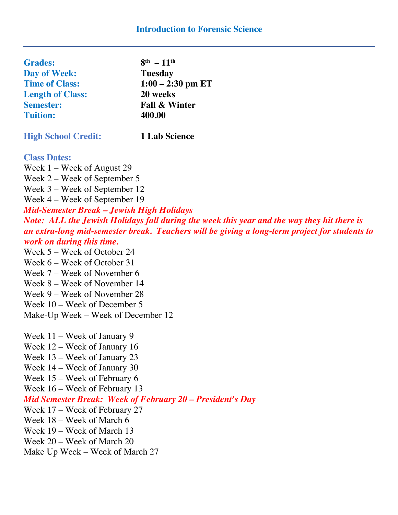| <b>Grades:</b>          | $8^{th} - 11^{th}$       |
|-------------------------|--------------------------|
| Day of Week:            | <b>Tuesday</b>           |
| <b>Time of Class:</b>   | $1:00 - 2:30$ pm ET      |
| <b>Length of Class:</b> | 20 weeks                 |
| <b>Semester:</b>        | <b>Fall &amp; Winter</b> |
| <b>Tuition:</b>         | 400.00                   |
|                         |                          |

**High School Credit: 1 Lab Science**

## **Class Dates:**

Week 1 – Week of August 29 Week 2 – Week of September 5 Week 3 – Week of September 12

Week 4 – Week of September 19

*Mid-Semester Break – Jewish High Holidays Note: ALL the Jewish Holidays fall during the week this year and the way they hit there is an extra-long mid-semester break. Teachers will be giving a long-term project for students to work on during this time.*

Week 5 – Week of October 24

Week 6 – Week of October 31

Week 7 – Week of November 6

Week 8 – Week of November 14

Week 9 – Week of November 28

Week 10 – Week of December 5

Make-Up Week – Week of December 12

Week 11 – Week of January 9 Week 12 – Week of January 16 Week 13 – Week of January 23 Week 14 – Week of January 30 Week 15 – Week of February 6 Week 16 – Week of February 13 *Mid Semester Break: Week of February 20 – President's Day* Week 17 – Week of February 27

Week 18 – Week of March 6

Week 19 – Week of March 13

Week 20 – Week of March 20

Make Up Week – Week of March 27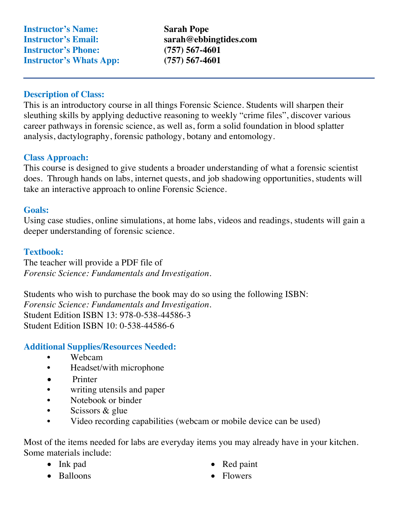**Instructor's Name: Sarah Pope Instructor's Email: sarah@ebbingtides.com Instructor's Phone: (757) 567-4601 Instructor's Whats App: (757) 567-4601**

## **Description of Class:**

This is an introductory course in all things Forensic Science. Students will sharpen their sleuthing skills by applying deductive reasoning to weekly "crime files", discover various career pathways in forensic science, as well as, form a solid foundation in blood splatter analysis, dactylography, forensic pathology, botany and entomology.

## **Class Approach:**

This course is designed to give students a broader understanding of what a forensic scientist does. Through hands on labs, internet quests, and job shadowing opportunities, students will take an interactive approach to online Forensic Science.

## **Goals:**

Using case studies, online simulations, at home labs, videos and readings, students will gain a deeper understanding of forensic science.

## **Textbook:**

The teacher will provide a PDF file of *Forensic Science: Fundamentals and Investigation.* 

Students who wish to purchase the book may do so using the following ISBN: *Forensic Science: Fundamentals and Investigation.*  Student Edition ISBN 13: 978-0-538-44586-3 Student Edition ISBN 10: 0-538-44586-6

## **Additional Supplies/Resources Needed:**

- Webcam
- Headset/with microphone
- Printer
- writing utensils and paper
- Notebook or binder
- Scissors & glue
- Video recording capabilities (webcam or mobile device can be used)

Most of the items needed for labs are everyday items you may already have in your kitchen. Some materials include:

- Ink pad
- Balloons
- Red paint
- Flowers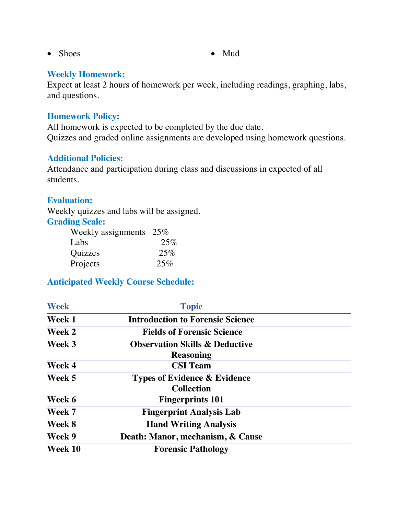- Shoes Mud
- 

## **Weekly Homework:**

Expect at least 2 hours of homework per week, including readings, graphing, labs, and questions.

#### **Homework Policy:**

All homework is expected to be completed by the due date. Quizzes and graded online assignments are developed using homework questions.

## **Additional Policies:**

Attendance and participation during class and discussions in expected of all students.

## **Evaluation:**

Weekly quizzes and labs will be assigned. **Grading Scale:** 

| Weekly assignments $25\%$ |     |
|---------------------------|-----|
| Labs                      | 25% |
| <b>Quizzes</b>            | 25% |
| Projects                  | 25% |

# **Anticipated Weekly Course Schedule:**

| <b>Week</b> | <b>Topic</b>                              |  |
|-------------|-------------------------------------------|--|
| Week 1      | <b>Introduction to Forensic Science</b>   |  |
| Week 2      | <b>Fields of Forensic Science</b>         |  |
| Week 3      | <b>Observation Skills &amp; Deductive</b> |  |
|             | <b>Reasoning</b>                          |  |
| Week 4      | <b>CSI</b> Team                           |  |
| Week 5      | <b>Types of Evidence &amp; Evidence</b>   |  |
|             | <b>Collection</b>                         |  |
| Week 6      | <b>Fingerprints 101</b>                   |  |
| Week 7      | <b>Fingerprint Analysis Lab</b>           |  |
| Week 8      | <b>Hand Writing Analysis</b>              |  |
| Week 9      | Death: Manor, mechanism, & Cause          |  |
| Week 10     | <b>Forensic Pathology</b>                 |  |